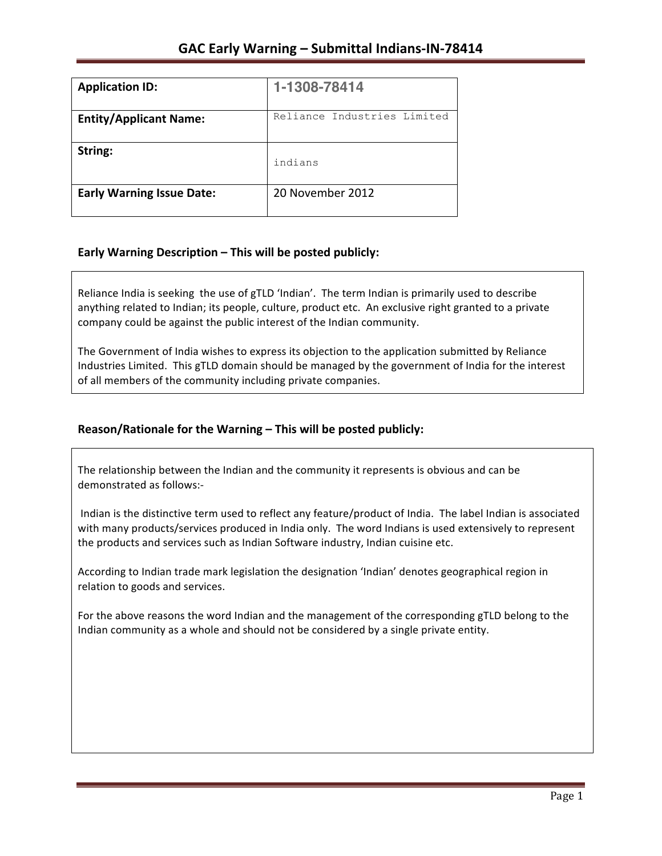| <b>Application ID:</b>           | 1-1308-78414                |
|----------------------------------|-----------------------------|
| <b>Entity/Applicant Name:</b>    | Reliance Industries Limited |
| String:                          | indians                     |
| <b>Early Warning Issue Date:</b> | 20 November 2012            |

# **Early Warning Description – This will be posted publicly:**

Reliance India is seeking the use of gTLD 'Indian'. The term Indian is primarily used to describe anything related to Indian; its people, culture, product etc. An exclusive right granted to a private company could be against the public interest of the Indian community.

The Government of India wishes to express its objection to the application submitted by Reliance Industries Limited. This gTLD domain should be managed by the government of India for the interest of all members of the community including private companies.

## Reason/Rationale for the Warning - This will be posted publicly:

The relationship between the Indian and the community it represents is obvious and can be demonstrated as follows:-

Indian is the distinctive term used to reflect any feature/product of India. The label Indian is associated with many products/services produced in India only. The word Indians is used extensively to represent the products and services such as Indian Software industry, Indian cuisine etc.

According to Indian trade mark legislation the designation 'Indian' denotes geographical region in relation to goods and services.

For the above reasons the word Indian and the management of the corresponding gTLD belong to the Indian community as a whole and should not be considered by a single private entity.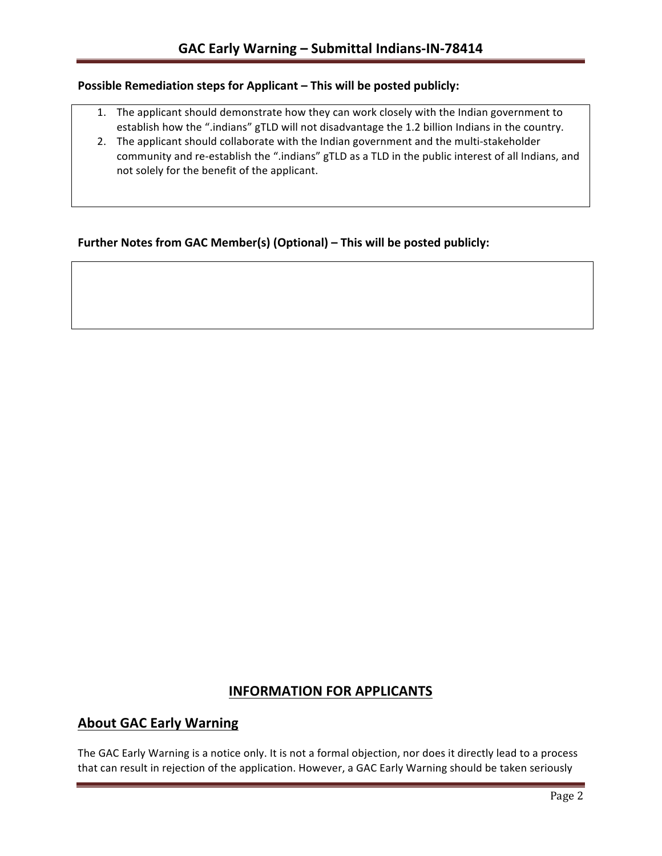## **Possible Remediation steps for Applicant – This will be posted publicly:**

- 1. The applicant should demonstrate how they can work closely with the Indian government to establish how the ".indians" gTLD will not disadvantage the 1.2 billion Indians in the country.
- 2. The applicant should collaborate with the Indian government and the multi-stakeholder community and re-establish the ".indians" gTLD as a TLD in the public interest of all Indians, and not solely for the benefit of the applicant.

## **Further Notes from GAC Member(s) (Optional) – This will be posted publicly:**

# **INFORMATION FOR APPLICANTS**

## **About GAC Early Warning**

The GAC Early Warning is a notice only. It is not a formal objection, nor does it directly lead to a process that can result in rejection of the application. However, a GAC Early Warning should be taken seriously